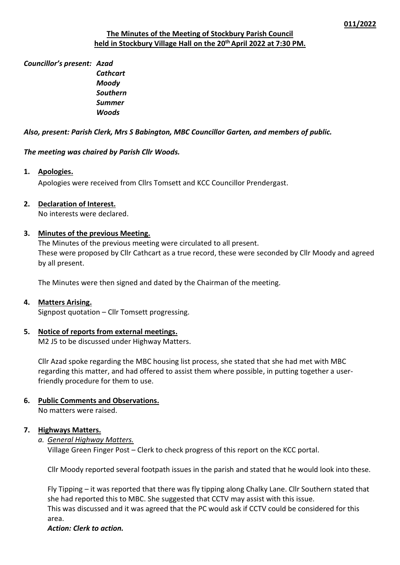## **The Minutes of the Meeting of Stockbury Parish Council held in Stockbury Village Hall on the 20th April 2022 at 7:30 PM.**

*Councillor's present: Azad*

*Cathcart Moody Southern Summer Woods*

## *Also, present: Parish Clerk, Mrs S Babington, MBC Councillor Garten, and members of public.*

*The meeting was chaired by Parish Cllr Woods.*

## **1. Apologies.**

Apologies were received from Cllrs Tomsett and KCC Councillor Prendergast.

## **2. Declaration of Interest.**

No interests were declared.

## **3. Minutes of the previous Meeting.**

The Minutes of the previous meeting were circulated to all present. These were proposed by Cllr Cathcart as a true record, these were seconded by Cllr Moody and agreed by all present.

The Minutes were then signed and dated by the Chairman of the meeting.

#### **4. Matters Arising.**

Signpost quotation – Cllr Tomsett progressing.

## **5. Notice of reports from external meetings.**

M2 J5 to be discussed under Highway Matters.

Cllr Azad spoke regarding the MBC housing list process, she stated that she had met with MBC regarding this matter, and had offered to assist them where possible, in putting together a userfriendly procedure for them to use.

# **6. Public Comments and Observations.**

No matters were raised.

#### **7. Highways Matters.**

*a. General Highway Matters.*

Village Green Finger Post – Clerk to check progress of this report on the KCC portal.

Cllr Moody reported several footpath issues in the parish and stated that he would look into these.

Fly Tipping – it was reported that there was fly tipping along Chalky Lane. Cllr Southern stated that she had reported this to MBC. She suggested that CCTV may assist with this issue. This was discussed and it was agreed that the PC would ask if CCTV could be considered for this area.

#### *Action: Clerk to action.*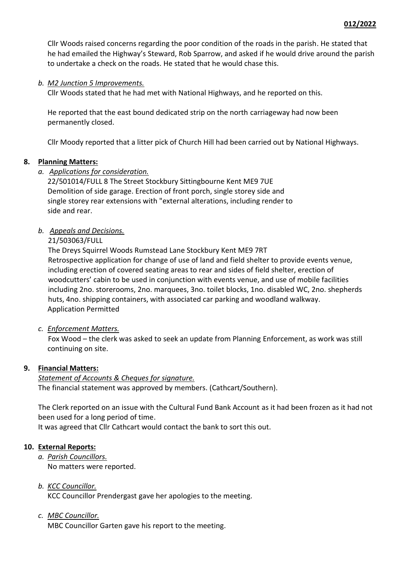Cllr Woods raised concerns regarding the poor condition of the roads in the parish. He stated that he had emailed the Highway's Steward, Rob Sparrow, and asked if he would drive around the parish to undertake a check on the roads. He stated that he would chase this.

## *b. M2 Junction 5 Improvements.*

Cllr Woods stated that he had met with National Highways, and he reported on this.

He reported that the east bound dedicated strip on the north carriageway had now been permanently closed.

Cllr Moody reported that a litter pick of Church Hill had been carried out by National Highways.

#### **8. Planning Matters:**

#### *a. Applications for consideration.*

22/501014/FULL 8 The Street Stockbury Sittingbourne Kent ME9 7UE Demolition of side garage. Erection of front porch, single storey side and single storey rear extensions with "external alterations, including render to side and rear.

## *b. Appeals and Decisions.*

## 21/503063/FULL

The Dreys Squirrel Woods Rumstead Lane Stockbury Kent ME9 7RT Retrospective application for change of use of land and field shelter to provide events venue, including erection of covered seating areas to rear and sides of field shelter, erection of woodcutters' cabin to be used in conjunction with events venue, and use of mobile facilities including 2no. storerooms, 2no. marquees, 3no. toilet blocks, 1no. disabled WC, 2no. shepherds huts, 4no. shipping containers, with associated car parking and woodland walkway. Application Permitted

#### *c. Enforcement Matters.*

Fox Wood – the clerk was asked to seek an update from Planning Enforcement, as work was still continuing on site.

#### **9. Financial Matters:**

#### *Statement of Accounts & Cheques for signature.*

The financial statement was approved by members. (Cathcart/Southern).

The Clerk reported on an issue with the Cultural Fund Bank Account as it had been frozen as it had not been used for a long period of time.

It was agreed that Cllr Cathcart would contact the bank to sort this out.

#### **10. External Reports:**

*a. Parish Councillors.* No matters were reported.

## *b. KCC Councillor.*

KCC Councillor Prendergast gave her apologies to the meeting.

## *c. MBC Councillor.*

MBC Councillor Garten gave his report to the meeting.